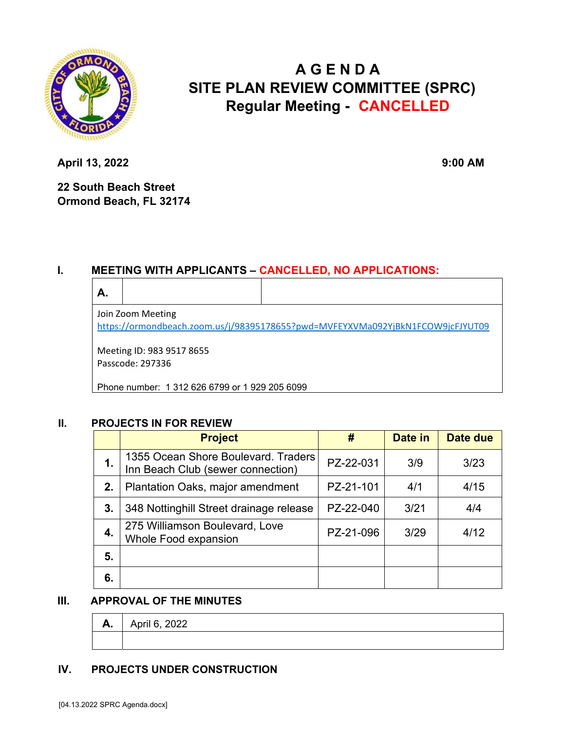

# **A G E N D A SITE PLAN REVIEW COMMITTEE (SPRC) Regular Meeting - CANCELLED**

**April 13, 2022** 9:00 AM

**22 South Beach Street Ormond Beach, FL 32174** 

## **I. MEETING WITH APPLICANTS – CANCELLED, NO APPLICATIONS:**

| А.                                                                             |  |  |  |  |  |  |
|--------------------------------------------------------------------------------|--|--|--|--|--|--|
| Join Zoom Meeting                                                              |  |  |  |  |  |  |
| https://ormondbeach.zoom.us/j/98395178655?pwd=MVFEYXVMa092YjBkN1FCOW9jcFJYUT09 |  |  |  |  |  |  |
|                                                                                |  |  |  |  |  |  |

Meeting ID: 983 9517 8655 Passcode: 297336

Phone number: 1 312 626 6799 or 1 929 205 6099

### **II. PROJECTS IN FOR REVIEW**

|    | <b>Project</b>                                                           | #         | Date in | Date due |
|----|--------------------------------------------------------------------------|-----------|---------|----------|
| 1. | 1355 Ocean Shore Boulevard. Traders<br>Inn Beach Club (sewer connection) | PZ-22-031 | 3/9     | 3/23     |
| 2. | Plantation Oaks, major amendment                                         | PZ-21-101 | 4/1     | 4/15     |
| 3. | 348 Nottinghill Street drainage release                                  | PZ-22-040 | 3/21    | 4/4      |
| 4. | 275 Williamson Boulevard, Love<br>Whole Food expansion                   | PZ-21-096 | 3/29    | 4/12     |
| 5. |                                                                          |           |         |          |
| 6. |                                                                          |           |         |          |

### **III. APPROVAL OF THE MINUTES**

| A. | $\overline{1}$ April 6, 2022 |
|----|------------------------------|
|    |                              |

### **IV. PROJECTS UNDER CONSTRUCTION**